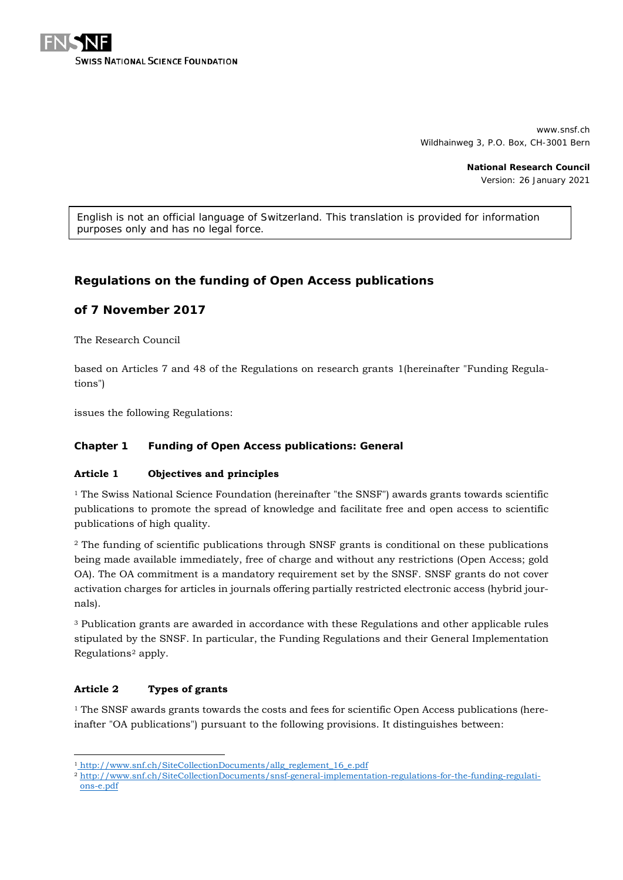

www.snsf.ch Wildhainweg 3, P.O. Box, CH-3001 Bern

> **National Research Council** Version: 26 January 2021

*English is not an official language of Switzerland. This translation is provided for information purposes only and has no legal force.*

# **Regulations on the funding of Open Access publications**

# **of 7 November 2017**

The Research Council

based on Articles 7 and 48 of the Regulations on research grants [1\(](#page-0-0)hereinafter "Funding Regulations")

issues the following Regulations:

### **Chapter 1 Funding of Open Access publications: General**

#### **Article 1 Objectives and principles**

 $<sup>1</sup>$  The Swiss National Science Foundation (hereinafter "the SNSF") awards grants towards scientific</sup> publications to promote the spread of knowledge and facilitate free and open access to scientific publications of high quality.

<sup>2</sup> The funding of scientific publications through SNSF grants is conditional on these publications being made available immediately, free of charge and without any restrictions (Open Access; gold OA). The OA commitment is a mandatory requirement set by the SNSF. SNSF grants do not cover activation charges for articles in journals offering partially restricted electronic access (hybrid journals).

<sup>3</sup> Publication grants are awarded in accordance with these Regulations and other applicable rules stipulated by the SNSF. In particular, the Funding Regulations and their General Implementation Regulations[2](#page-0-1) apply.

## **Article 2 Types of grants**

-

<sup>1</sup> The SNSF awards grants towards the costs and fees for scientific Open Access publications (hereinafter "OA publications") pursuant to the following provisions. It distinguishes between:

<span id="page-0-0"></span><sup>1</sup> [http://www.snf.ch/SiteCollectionDocuments/allg\\_reglement\\_16\\_e.pdf](http://www.snf.ch/SiteCollectionDocuments/allg_reglement_16_e.pdf)

<span id="page-0-1"></span><sup>2</sup> [http://www.snf.ch/SiteCollectionDocuments/snsf-general-implementation-regulations-for-the-funding-regulati](http://www.snf.ch/SiteCollectionDocuments/snsf-general-implementation-regulations-for-the-funding-regulations-e.pdf)[ons-e.pdf](http://www.snf.ch/SiteCollectionDocuments/snsf-general-implementation-regulations-for-the-funding-regulations-e.pdf)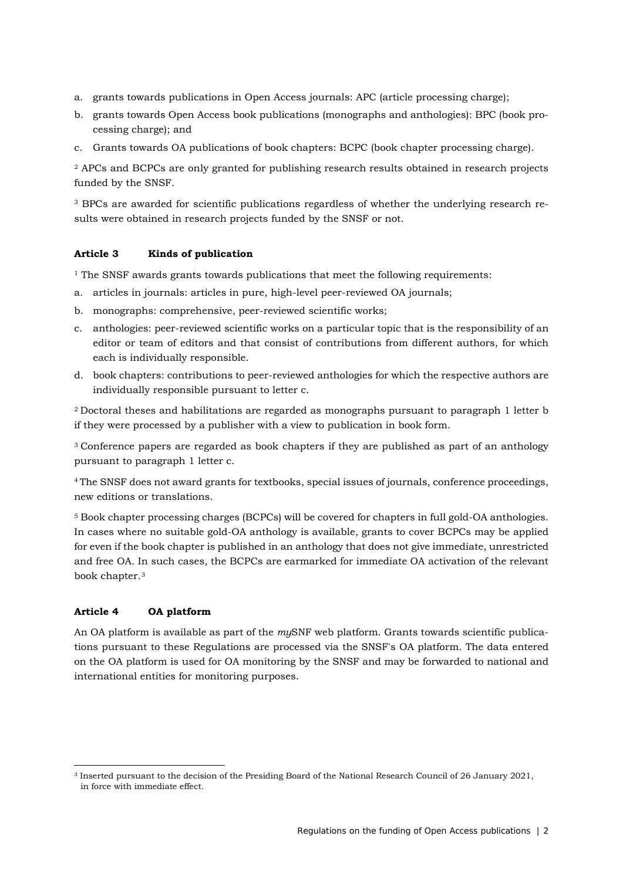- a. grants towards publications in Open Access journals: APC (article processing charge);
- b. grants towards Open Access book publications (monographs and anthologies): BPC (book processing charge); and
- c. Grants towards OA publications of book chapters: BCPC (book chapter processing charge).

<sup>2</sup> APCs and BCPCs are only granted for publishing research results obtained in research projects funded by the SNSF.

<sup>3</sup> BPCs are awarded for scientific publications regardless of whether the underlying research results were obtained in research projects funded by the SNSF or not.

#### **Article 3 Kinds of publication**

<sup>1</sup> The SNSF awards grants towards publications that meet the following requirements:

- a. articles in journals: articles in pure, high-level peer-reviewed OA journals;
- b. monographs: comprehensive, peer-reviewed scientific works;
- c. anthologies: peer-reviewed scientific works on a particular topic that is the responsibility of an editor or team of editors and that consist of contributions from different authors, for which each is individually responsible.
- d. book chapters: contributions to peer-reviewed anthologies for which the respective authors are individually responsible pursuant to letter c.

2 Doctoral theses and habilitations are regarded as monographs pursuant to paragraph 1 letter b if they were processed by a publisher with a view to publication in book form.

<sup>3</sup> Conference papers are regarded as book chapters if they are published as part of an anthology pursuant to paragraph 1 letter c.

4 The SNSF does not award grants for textbooks, special issues of journals, conference proceedings, new editions or translations.

<sup>5</sup> Book chapter processing charges (BCPCs) will be covered for chapters in full gold-OA anthologies. In cases where no suitable gold-OA anthology is available, grants to cover BCPCs may be applied for even if the book chapter is published in an anthology that does not give immediate, unrestricted and free OA. In such cases, the BCPCs are earmarked for immediate OA activation of the relevant book chapter.[3](#page-1-0)

#### **Article 4 OA platform**

-

An OA platform is available as part of the *my*SNF web platform. Grants towards scientific publications pursuant to these Regulations are processed via the SNSF's OA platform. The data entered on the OA platform is used for OA monitoring by the SNSF and may be forwarded to national and international entities for monitoring purposes.

<span id="page-1-0"></span><sup>3</sup> Inserted pursuant to the decision of the Presiding Board of the National Research Council of 26 January 2021, in force with immediate effect.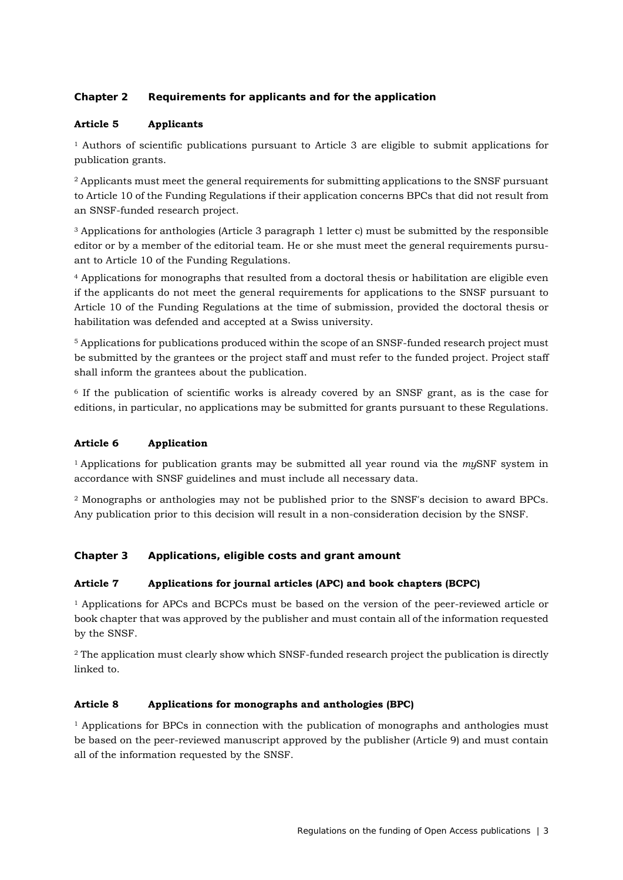## **Chapter 2 Requirements for applicants and for the application**

## **Article 5 Applicants**

<sup>1</sup> Authors of scientific publications pursuant to Article 3 are eligible to submit applications for publication grants.

<sup>2</sup> Applicants must meet the general requirements for submitting applications to the SNSF pursuant to Article 10 of the Funding Regulations if their application concerns BPCs that did not result from an SNSF-funded research project.

<sup>3</sup> Applications for anthologies (Article 3 paragraph 1 letter c) must be submitted by the responsible editor or by a member of the editorial team. He or she must meet the general requirements pursuant to Article 10 of the Funding Regulations.

<sup>4</sup> Applications for monographs that resulted from a doctoral thesis or habilitation are eligible even if the applicants do not meet the general requirements for applications to the SNSF pursuant to Article 10 of the Funding Regulations at the time of submission, provided the doctoral thesis or habilitation was defended and accepted at a Swiss university.

<sup>5</sup> Applications for publications produced within the scope of an SNSF-funded research project must be submitted by the grantees or the project staff and must refer to the funded project. Project staff shall inform the grantees about the publication.

<sup>6</sup> If the publication of scientific works is already covered by an SNSF grant, as is the case for editions, in particular, no applications may be submitted for grants pursuant to these Regulations.

## **Article 6 Application**

1 Applications for publication grants may be submitted all year round via the *my*SNF system in accordance with SNSF guidelines and must include all necessary data.

<sup>2</sup> Monographs or anthologies may not be published prior to the SNSF's decision to award BPCs. Any publication prior to this decision will result in a non-consideration decision by the SNSF.

## **Chapter 3 Applications, eligible costs and grant amount**

## **Article 7 Applications for journal articles (APC) and book chapters (BCPC)**

<sup>1</sup> Applications for APCs and BCPCs must be based on the version of the peer-reviewed article or book chapter that was approved by the publisher and must contain all of the information requested by the SNSF.

<sup>2</sup> The application must clearly show which SNSF-funded research project the publication is directly linked to.

## **Article 8 Applications for monographs and anthologies (BPC)**

<sup>1</sup> Applications for BPCs in connection with the publication of monographs and anthologies must be based on the peer-reviewed manuscript approved by the publisher (Article 9) and must contain all of the information requested by the SNSF.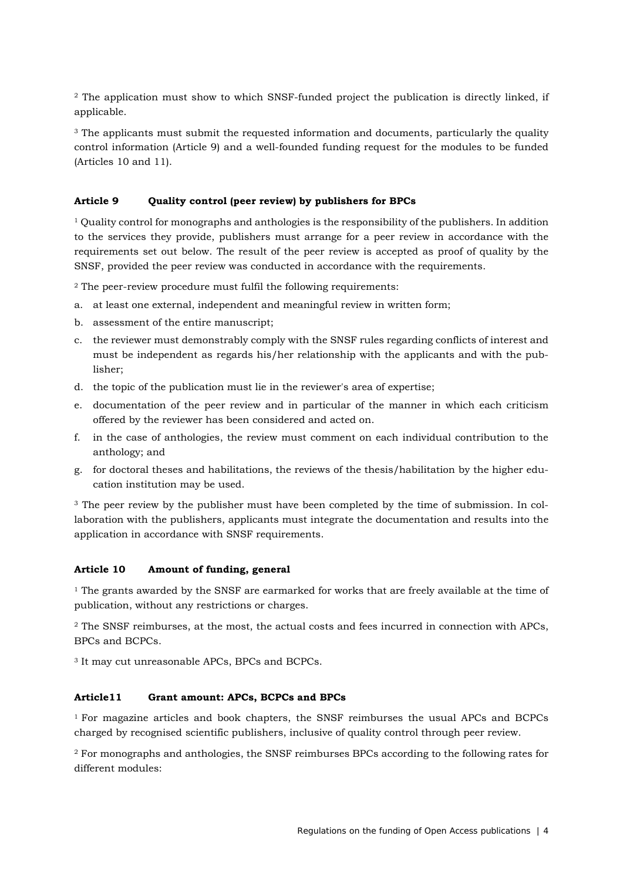<sup>2</sup> The application must show to which SNSF-funded project the publication is directly linked, if applicable.

<sup>3</sup> The applicants must submit the requested information and documents, particularly the quality control information (Article 9) and a well-founded funding request for the modules to be funded (Articles 10 and 11).

### **Article 9 Quality control (peer review) by publishers for BPCs**

<sup>1</sup> Quality control for monographs and anthologies is the responsibility of the publishers. In addition to the services they provide, publishers must arrange for a peer review in accordance with the requirements set out below. The result of the peer review is accepted as proof of quality by the SNSF, provided the peer review was conducted in accordance with the requirements.

<sup>2</sup> The peer-review procedure must fulfil the following requirements:

- a. at least one external, independent and meaningful review in written form;
- b. assessment of the entire manuscript;
- c. the reviewer must demonstrably comply with the SNSF rules regarding conflicts of interest and must be independent as regards his/her relationship with the applicants and with the publisher;
- d. the topic of the publication must lie in the reviewer's area of expertise;
- e. documentation of the peer review and in particular of the manner in which each criticism offered by the reviewer has been considered and acted on.
- f. in the case of anthologies, the review must comment on each individual contribution to the anthology; and
- g. for doctoral theses and habilitations, the reviews of the thesis/habilitation by the higher education institution may be used.

<sup>3</sup> The peer review by the publisher must have been completed by the time of submission. In collaboration with the publishers, applicants must integrate the documentation and results into the application in accordance with SNSF requirements.

#### **Article 10 Amount of funding, general**

 $1$  The grants awarded by the SNSF are earmarked for works that are freely available at the time of publication, without any restrictions or charges.

<sup>2</sup> The SNSF reimburses, at the most, the actual costs and fees incurred in connection with APCs, BPCs and BCPCs.

<sup>3</sup> It may cut unreasonable APCs, BPCs and BCPCs.

## **Article11 Grant amount: APCs, BCPCs and BPCs**

1 For magazine articles and book chapters, the SNSF reimburses the usual APCs and BCPCs charged by recognised scientific publishers, inclusive of quality control through peer review.

<sup>2</sup> For monographs and anthologies, the SNSF reimburses BPCs according to the following rates for different modules: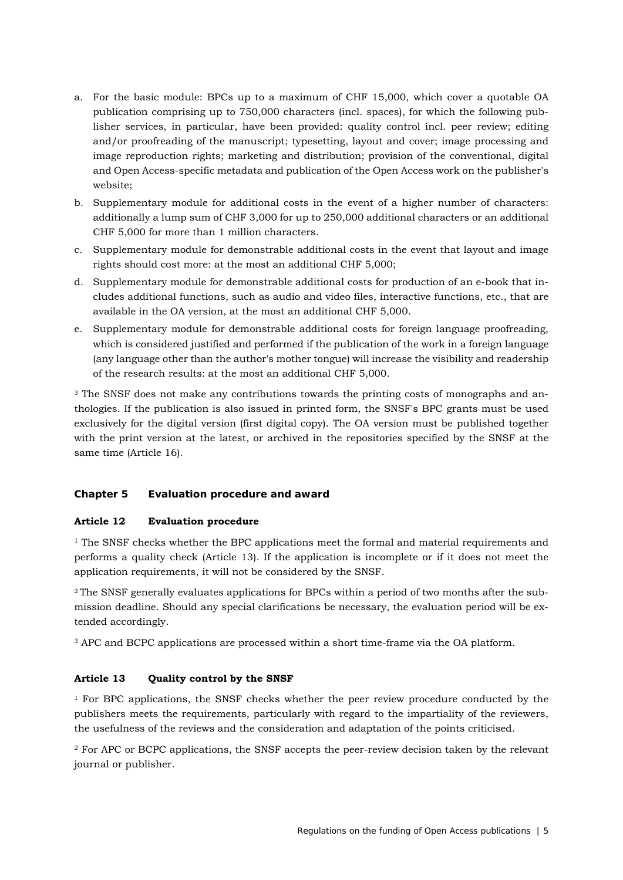- a. For the basic module: BPCs up to a maximum of CHF 15,000, which cover a quotable OA publication comprising up to 750,000 characters (incl. spaces), for which the following publisher services, in particular, have been provided: quality control incl. peer review; editing and/or proofreading of the manuscript; typesetting, layout and cover; image processing and image reproduction rights; marketing and distribution; provision of the conventional, digital and Open Access-specific metadata and publication of the Open Access work on the publisher's website;
- b. Supplementary module for additional costs in the event of a higher number of characters: additionally a lump sum of CHF 3,000 for up to 250,000 additional characters or an additional CHF 5,000 for more than 1 million characters.
- c. Supplementary module for demonstrable additional costs in the event that layout and image rights should cost more: at the most an additional CHF 5,000;
- d. Supplementary module for demonstrable additional costs for production of an e-book that includes additional functions, such as audio and video files, interactive functions, etc., that are available in the OA version, at the most an additional CHF 5,000.
- e. Supplementary module for demonstrable additional costs for foreign language proofreading, which is considered justified and performed if the publication of the work in a foreign language (any language other than the author's mother tongue) will increase the visibility and readership of the research results: at the most an additional CHF 5,000.

<sup>3</sup> The SNSF does not make any contributions towards the printing costs of monographs and anthologies. If the publication is also issued in printed form, the SNSF's BPC grants must be used exclusively for the digital version (first digital copy). The OA version must be published together with the print version at the latest, or archived in the repositories specified by the SNSF at the same time (Article 16).

## **Chapter 5 Evaluation procedure and award**

#### **Article 12 Evaluation procedure**

 $1$  The SNSF checks whether the BPC applications meet the formal and material requirements and performs a quality check (Article 13). If the application is incomplete or if it does not meet the application requirements, it will not be considered by the SNSF.

2 The SNSF generally evaluates applications for BPCs within a period of two months after the submission deadline. Should any special clarifications be necessary, the evaluation period will be extended accordingly.

<sup>3</sup> APC and BCPC applications are processed within a short time-frame via the OA platform.

## **Article 13 Quality control by the SNSF**

<sup>1</sup> For BPC applications, the SNSF checks whether the peer review procedure conducted by the publishers meets the requirements, particularly with regard to the impartiality of the reviewers, the usefulness of the reviews and the consideration and adaptation of the points criticised.

<sup>2</sup> For APC or BCPC applications, the SNSF accepts the peer-review decision taken by the relevant journal or publisher.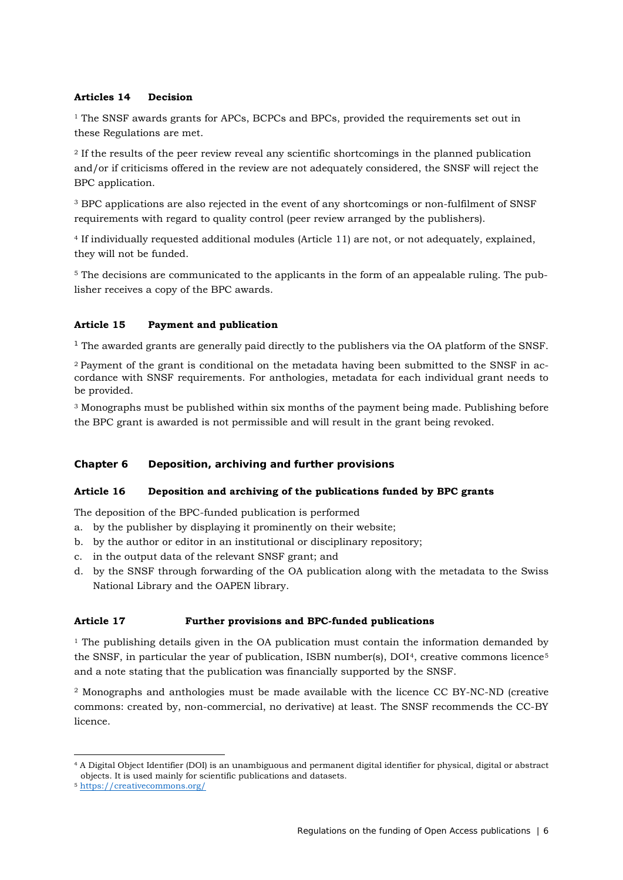## **Articles 14 Decision**

 $1$ <sup>1</sup> The SNSF awards grants for APCs, BCPCs and BPCs, provided the requirements set out in these Regulations are met.

<sup>2</sup> If the results of the peer review reveal any scientific shortcomings in the planned publication and/or if criticisms offered in the review are not adequately considered, the SNSF will reject the BPC application.

<sup>3</sup> BPC applications are also rejected in the event of any shortcomings or non-fulfilment of SNSF requirements with regard to quality control (peer review arranged by the publishers).

<sup>4</sup> If individually requested additional modules (Article 11) are not, or not adequately, explained, they will not be funded.

<sup>5</sup> The decisions are communicated to the applicants in the form of an appealable ruling. The publisher receives a copy of the BPC awards.

## **Article 15 Payment and publication**

<sup>1</sup> The awarded grants are generally paid directly to the publishers via the OA platform of the SNSF.

2 Payment of the grant is conditional on the metadata having been submitted to the SNSF in accordance with SNSF requirements. For anthologies, metadata for each individual grant needs to be provided.

<sup>3</sup> Monographs must be published within six months of the payment being made. Publishing before the BPC grant is awarded is not permissible and will result in the grant being revoked.

## **Chapter 6 Deposition, archiving and further provisions**

#### **Article 16 Deposition and archiving of the publications funded by BPC grants**

The deposition of the BPC-funded publication is performed

- a. by the publisher by displaying it prominently on their website;
- b. by the author or editor in an institutional or disciplinary repository;
- c. in the output data of the relevant SNSF grant; and
- d. by the SNSF through forwarding of the OA publication along with the metadata to the Swiss National Library and the OAPEN library.

#### **Article 17 Further provisions and BPC-funded publications**

 $<sup>1</sup>$  The publishing details given in the OA publication must contain the information demanded by</sup> the SNSF, in particular the year of publication, ISBN number(s),  $DOI<sup>4</sup>$ , creative commons licence<sup>[5](#page-5-1)</sup> and a note stating that the publication was financially supported by the SNSF.

<sup>2</sup> Monographs and anthologies must be made available with the licence CC BY-NC-ND (creative commons: created by, non-commercial, no derivative) at least. The SNSF recommends the CC-BY licence.

<span id="page-5-0"></span><sup>-</sup><sup>4</sup> A Digital Object Identifier (DOI) is an unambiguous and permanent digital identifier for physical, digital or abstract objects. It is used mainly for scientific publications and datasets.

<span id="page-5-1"></span><sup>5</sup> <https://creativecommons.org/>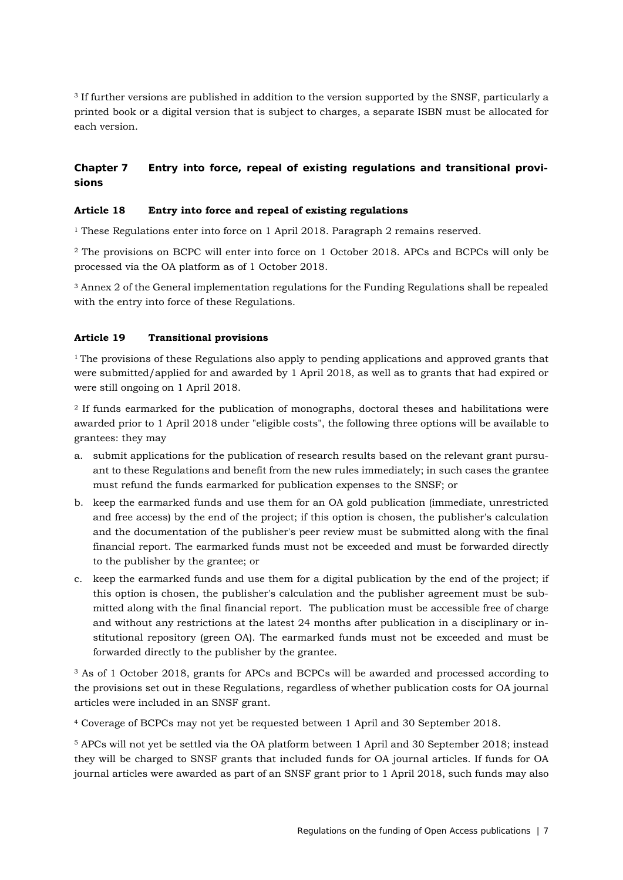<sup>3</sup> If further versions are published in addition to the version supported by the SNSF, particularly a printed book or a digital version that is subject to charges, a separate ISBN must be allocated for each version.

# **Chapter 7 Entry into force, repeal of existing regulations and transitional provisions**

## **Article 18 Entry into force and repeal of existing regulations**

<sup>1</sup> These Regulations enter into force on 1 April 2018. Paragraph 2 remains reserved.

<sup>2</sup> The provisions on BCPC will enter into force on 1 October 2018. APCs and BCPCs will only be processed via the OA platform as of 1 October 2018.

<sup>3</sup> Annex 2 of the General implementation regulations for the Funding Regulations shall be repealed with the entry into force of these Regulations.

### **Article 19 Transitional provisions**

<sup>1</sup> The provisions of these Regulations also apply to pending applications and approved grants that were submitted/applied for and awarded by 1 April 2018, as well as to grants that had expired or were still ongoing on 1 April 2018.

<sup>2</sup> If funds earmarked for the publication of monographs, doctoral theses and habilitations were awarded prior to 1 April 2018 under "eligible costs", the following three options will be available to grantees: they may

- a. submit applications for the publication of research results based on the relevant grant pursuant to these Regulations and benefit from the new rules immediately; in such cases the grantee must refund the funds earmarked for publication expenses to the SNSF; or
- b. keep the earmarked funds and use them for an OA gold publication (immediate, unrestricted and free access) by the end of the project; if this option is chosen, the publisher's calculation and the documentation of the publisher's peer review must be submitted along with the final financial report. The earmarked funds must not be exceeded and must be forwarded directly to the publisher by the grantee; or
- c. keep the earmarked funds and use them for a digital publication by the end of the project; if this option is chosen, the publisher's calculation and the publisher agreement must be submitted along with the final financial report. The publication must be accessible free of charge and without any restrictions at the latest 24 months after publication in a disciplinary or institutional repository (green OA). The earmarked funds must not be exceeded and must be forwarded directly to the publisher by the grantee.

<sup>3</sup> As of 1 October 2018, grants for APCs and BCPCs will be awarded and processed according to the provisions set out in these Regulations, regardless of whether publication costs for OA journal articles were included in an SNSF grant.

<sup>4</sup> Coverage of BCPCs may not yet be requested between 1 April and 30 September 2018.

<sup>5</sup> APCs will not yet be settled via the OA platform between 1 April and 30 September 2018; instead they will be charged to SNSF grants that included funds for OA journal articles. If funds for OA journal articles were awarded as part of an SNSF grant prior to 1 April 2018, such funds may also